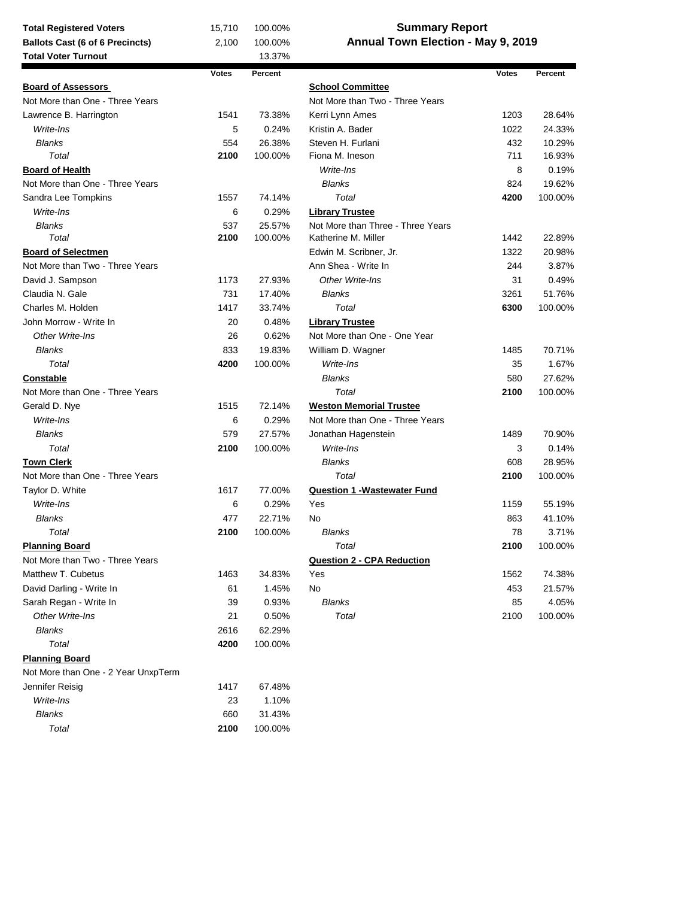## **Summary Report Annual Town Election - May 9, 2019**

| <b>Total Voter Turnout</b>          |              | 13.37%  |                                     |              |         |
|-------------------------------------|--------------|---------|-------------------------------------|--------------|---------|
|                                     | <b>Votes</b> | Percent |                                     | <b>Votes</b> | Percent |
| <b>Board of Assessors</b>           |              |         | <b>School Committee</b>             |              |         |
| Not More than One - Three Years     |              |         | Not More than Two - Three Years     |              |         |
| Lawrence B. Harrington              | 1541         | 73.38%  | Kerri Lynn Ames                     | 1203         | 28.64%  |
| Write-Ins                           | 5            | 0.24%   | Kristin A. Bader                    | 1022         | 24.33%  |
| <b>Blanks</b>                       | 554          | 26.38%  | Steven H. Furlani                   | 432          | 10.29%  |
| Total                               | 2100         | 100.00% | Fiona M. Ineson                     | 711          | 16.93%  |
| <b>Board of Health</b>              |              |         | Write-Ins                           | 8            | 0.19%   |
| Not More than One - Three Years     |              |         | <b>Blanks</b>                       | 824          | 19.62%  |
| Sandra Lee Tompkins                 | 1557         | 74.14%  | Total                               | 4200         | 100.00% |
| Write-Ins                           | 6            | 0.29%   | <b>Library Trustee</b>              |              |         |
| <b>Blanks</b>                       | 537          | 25.57%  | Not More than Three - Three Years   |              |         |
| Total                               | 2100         | 100.00% | Katherine M. Miller                 | 1442         | 22.89%  |
| <b>Board of Selectmen</b>           |              |         | Edwin M. Scribner, Jr.              | 1322         | 20.98%  |
| Not More than Two - Three Years     |              |         | Ann Shea - Write In                 | 244          | 3.87%   |
| David J. Sampson                    | 1173         | 27.93%  | Other Write-Ins                     | 31           | 0.49%   |
| Claudia N. Gale                     | 731          | 17.40%  | <b>Blanks</b>                       | 3261         | 51.76%  |
| Charles M. Holden                   | 1417         | 33.74%  | Total                               | 6300         | 100.00% |
| John Morrow - Write In              | 20           | 0.48%   | <b>Library Trustee</b>              |              |         |
| Other Write-Ins                     | 26           | 0.62%   | Not More than One - One Year        |              |         |
| <b>Blanks</b>                       | 833          | 19.83%  | William D. Wagner                   | 1485         | 70.71%  |
| Total                               | 4200         | 100.00% | Write-Ins                           | 35           | 1.67%   |
| <b>Constable</b>                    |              |         | <b>Blanks</b>                       | 580          | 27.62%  |
| Not More than One - Three Years     |              |         | Total                               | 2100         | 100.00% |
| Gerald D. Nye                       | 1515         | 72.14%  | <b>Weston Memorial Trustee</b>      |              |         |
| Write-Ins                           | 6            | 0.29%   | Not More than One - Three Years     |              |         |
| <b>Blanks</b>                       | 579          | 27.57%  | Jonathan Hagenstein                 | 1489         | 70.90%  |
| Total                               | 2100         | 100.00% | Write-Ins                           | 3            | 0.14%   |
| <b>Town Clerk</b>                   |              |         | <b>Blanks</b>                       | 608          | 28.95%  |
| Not More than One - Three Years     |              |         | Total                               | 2100         | 100.00% |
| Taylor D. White                     | 1617         | 77.00%  | <b>Question 1 - Wastewater Fund</b> |              |         |
| Write-Ins                           | 6            | 0.29%   | Yes                                 | 1159         | 55.19%  |
| <b>Blanks</b>                       | 477          | 22.71%  | No                                  | 863          | 41.10%  |
| Total                               | 2100         | 100.00% | <b>Blanks</b>                       | 78           | 3.71%   |
| <b>Planning Board</b>               |              |         | Total                               | 2100         | 100.00% |
| Not More than Two - Three Years     |              |         | <b>Question 2 - CPA Reduction</b>   |              |         |
| Matthew T. Cubetus                  | 1463         | 34.83%  | Yes                                 | 1562         | 74.38%  |
| David Darling - Write In            | 61           | 1.45%   | No                                  | 453          | 21.57%  |
| Sarah Regan - Write In              | 39           | 0.93%   | <b>Blanks</b>                       | 85           | 4.05%   |
| Other Write-Ins                     | 21           | 0.50%   | Total                               | 2100         | 100.00% |
| <b>Blanks</b>                       | 2616         | 62.29%  |                                     |              |         |
| Total                               | 4200         | 100.00% |                                     |              |         |
| <b>Planning Board</b>               |              |         |                                     |              |         |
| Not More than One - 2 Year UnxpTerm |              |         |                                     |              |         |
| Jennifer Reisig                     | 1417         | 67.48%  |                                     |              |         |
| Write-Ins                           | 23           | 1.10%   |                                     |              |         |
| <b>Blanks</b>                       | 660          | 31.43%  |                                     |              |         |
| Total                               | 2100         | 100.00% |                                     |              |         |
|                                     |              |         |                                     |              |         |

**Total Registered Voters** 15,710 100.00%<br> **Ballots Cast (6 of 6 Precincts)** 2,100 100.00%

**Ballots Cast (6 of 6 Precincts)**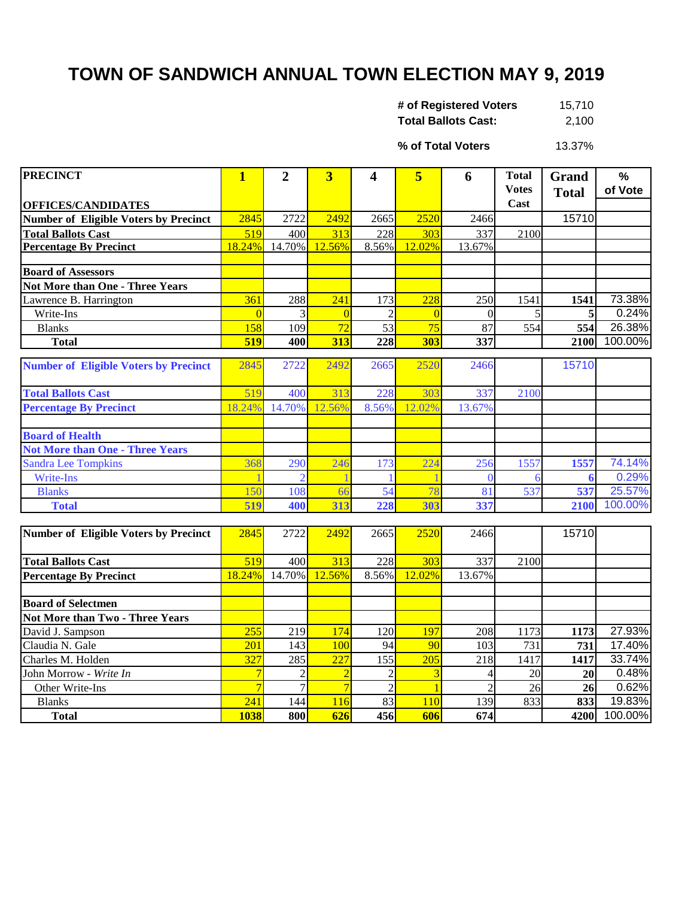## **TOWN OF SANDWICH ANNUAL TOWN ELECTION MAY 9, 2019**

| # of Registered Voters     | 15,710 |
|----------------------------|--------|
| <b>Total Ballots Cast:</b> | 2,100  |

13.37% **% of Total Voters**

| <b>PRECINCT</b>                              | $\mathbf{1}$   | $\overline{2}$ | $\overline{\mathbf{3}}$ | 4              | 5                | 6              | <b>Total</b> | Grand        | $\%$    |
|----------------------------------------------|----------------|----------------|-------------------------|----------------|------------------|----------------|--------------|--------------|---------|
|                                              |                |                |                         |                |                  |                | <b>Votes</b> | <b>Total</b> | of Vote |
| <b>OFFICES/CANDIDATES</b>                    |                |                |                         |                |                  |                | Cast         |              |         |
| <b>Number of Eligible Voters by Precinct</b> | 2845           | 2722           | 2492                    | 2665           | 2520             | 2466           |              | 15710        |         |
| <b>Total Ballots Cast</b>                    | 519            | 400            | 313                     | 228            | 303              | 337            | 2100         |              |         |
| <b>Percentage By Precinct</b>                | 18.24%         | 14.70%         | 12.56%                  | 8.56%          | 12.02%           | 13.67%         |              |              |         |
| <b>Board of Assessors</b>                    |                |                |                         |                |                  |                |              |              |         |
| <b>Not More than One - Three Years</b>       |                |                |                         |                |                  |                |              |              |         |
| Lawrence B. Harrington                       | 361            | 288            | 241                     | 173            | 228              | 250            | 1541         | 1541         | 73.38%  |
| Write-Ins                                    | $\Omega$       | 3              | $\overline{0}$          | $\overline{c}$ | $\Omega$         | $\Omega$       | 5            | 5            | 0.24%   |
| <b>Blanks</b>                                | 158            | 109            | 72                      | 53             | 75               | 87             | 554          | 554          | 26.38%  |
| <b>Total</b>                                 | 519            | 400            | 313                     | 228            | 303              | 337            |              | 2100         | 100.00% |
|                                              |                |                |                         |                |                  |                |              |              |         |
| <b>Number of Eligible Voters by Precinct</b> | 2845           | 2722           | 2492                    | 2665           | 2520             | 2466           |              | 15710        |         |
| <b>Total Ballots Cast</b>                    | 519            | 400            | 313                     | 228            | 303              | 337            | 2100         |              |         |
| <b>Percentage By Precinct</b>                | 18.24%         | 14.70%         | 12.56%                  | 8.56%          | 12.02%           | 13.67%         |              |              |         |
|                                              |                |                |                         |                |                  |                |              |              |         |
| <b>Board of Health</b>                       |                |                |                         |                |                  |                |              |              |         |
| <b>Not More than One - Three Years</b>       |                |                |                         |                |                  |                |              |              |         |
| <b>Sandra Lee Tompkins</b>                   | 368            | 290            | 246                     | 173            | 224              | 256            | 1557         | 1557         | 74.14%  |
| Write-Ins                                    |                |                |                         |                |                  | 0              | 6            | 6            | 0.29%   |
| <b>Blanks</b>                                | 150            | 108            | 66                      | 54             | 78               | 81             | 537          | 537          | 25.57%  |
| <b>Total</b>                                 | 519            | 400            | 313                     | 228            | 303              | 337            |              | 2100         | 100.00% |
|                                              |                |                |                         |                |                  |                |              |              |         |
| <b>Number of Eligible Voters by Precinct</b> | 2845           | 2722           | 2492                    | 2665           | 2520             | 2466           |              | 15710        |         |
| <b>Total Ballots Cast</b>                    | 519            | 400            | 313                     | 228            | 303              | 337            | 2100         |              |         |
| <b>Percentage By Precinct</b>                | 18.24%         | 14.70%         | 12.56%                  | 8.56%          | 12.02%           | 13.67%         |              |              |         |
|                                              |                |                |                         |                |                  |                |              |              |         |
| <b>Board of Selectmen</b>                    |                |                |                         |                |                  |                |              |              |         |
| <b>Not More than Two - Three Years</b>       |                |                |                         |                |                  |                |              |              |         |
| David J. Sampson                             | 255            | 219            | 174                     | 120            | 197              | 208            | 1173         | 1173         | 27.93%  |
| Claudia N. Gale                              | 201            | 143            | 100                     | 94             | 90               | 103            | 731          | 731          | 17.40%  |
| Charles M. Holden                            | 327            | 285            | $\overline{227}$        | 155            | $\overline{205}$ | 218            | 1417         | 1417         | 33.74%  |
| John Morrow - Write In                       | $\overline{7}$ | $\overline{2}$ | $\overline{2}$          | $\overline{2}$ | $\overline{3}$   | 4              | 20           | 20           | 0.48%   |
| Other Write-Ins                              | $\overline{7}$ | $\overline{7}$ | $\overline{7}$          | $\mathfrak{D}$ |                  | $\overline{2}$ | 26           | 26           | 0.62%   |
| <b>Blanks</b>                                | 241            | 144            | 116                     | 83             | 110              | 139            | 833          | 833          | 19.83%  |
| <b>Total</b>                                 | 1038           | 800            | 626                     | 456            | 606              | 674            |              | 4200         | 100.00% |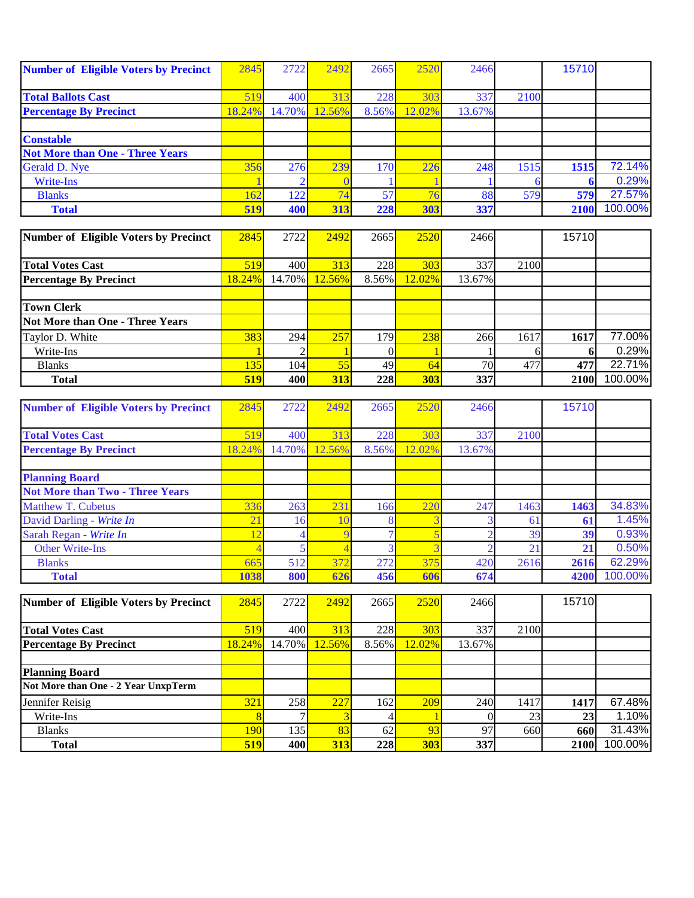| <b>Number of Eligible Voters by Precinct</b> | 2845   | 2722   | 2492   | 2665  | 2520   | 2466   |      | 15710 |         |
|----------------------------------------------|--------|--------|--------|-------|--------|--------|------|-------|---------|
|                                              |        |        |        |       |        |        |      |       |         |
| <b>Total Ballots Cast</b>                    | 519    | 400    | 313    | 228   | 303    | 337    | 2100 |       |         |
| <b>Percentage By Precinct</b>                | 18.24% | 14.70% | 12.56% | 8.56% | 12.02% | 13.67% |      |       |         |
|                                              |        |        |        |       |        |        |      |       |         |
| <b>Constable</b>                             |        |        |        |       |        |        |      |       |         |
| <b>Not More than One - Three Years</b>       |        |        |        |       |        |        |      |       |         |
| Gerald D. Nye                                | 356    | 276    | 239    | 170   | 226    | 248    | 1515 | 1515  | 72.14%  |
| Write-Ins                                    |        |        |        |       |        |        |      |       | 0.29%   |
| <b>Blanks</b>                                | 162    | 122    | 74     | 57    | 76     | 88     | 579  | 579   | 27.57%  |
| <b>Total</b>                                 | 519    | 400    | 313    | 228   | 303    | 337    |      | 2100  | 100.00% |

| Number of Eligible Voters by Precinct  | 2845       | 2722             | 2492       | 2665  | 2520       | 2466   |      | 15710 |         |
|----------------------------------------|------------|------------------|------------|-------|------------|--------|------|-------|---------|
|                                        |            |                  |            |       |            |        |      |       |         |
| <b>Total Votes Cast</b>                | 519        | 400              | 313        | 228   | 303        | 337    | 2100 |       |         |
| <b>Percentage By Precinct</b>          | $18.24\%$  | 14.70%           | 12.56%     | 8.56% | 12.02%     | 13.67% |      |       |         |
|                                        |            |                  |            |       |            |        |      |       |         |
| <b>Town Clerk</b>                      |            |                  |            |       |            |        |      |       |         |
| <b>Not More than One - Three Years</b> |            |                  |            |       |            |        |      |       |         |
| Taylor D. White                        | 383        | 294              | 257        | 179   | 238        | 266    | 1617 | 1617  | 77.00%  |
| Write-Ins                              |            |                  |            |       |            |        |      |       | 0.29%   |
| <b>Blanks</b>                          | 135        | 104 <sup>l</sup> | 55         | 49    | 64         | 70     | 477  | 477   | 22.71%  |
| <b>Total</b>                           | <b>519</b> | 400              | <b>313</b> | 228   | <b>303</b> | 337    |      | 2100  | 100.00% |

| <b>Number of Eligible Voters by Precinct</b> | 2845           | 2722   | 2492   | 2665  | 2520   | 2466   |             | 15710 |         |
|----------------------------------------------|----------------|--------|--------|-------|--------|--------|-------------|-------|---------|
|                                              |                |        |        |       |        |        |             |       |         |
| <b>Total Votes Cast</b>                      | 519            | 400    | 313    | 228   | 303    | 337    | 2100        |       |         |
| <b>Percentage By Precinct</b>                | 18.24%         | 14.70% | 12.56% | 8.56% | 12.02% | 13.67% |             |       |         |
|                                              |                |        |        |       |        |        |             |       |         |
| <b>Planning Board</b>                        |                |        |        |       |        |        |             |       |         |
| <b>Not More than Two - Three Years</b>       |                |        |        |       |        |        |             |       |         |
| <b>Matthew T. Cubetus</b>                    | 336            | 263    | 231    | 166   | 220    | 247    | 1463        | 1463  | 34.83%  |
| David Darling - Write In                     | $\overline{2}$ | 16     |        |       |        |        | 6           | 61    | 1.45%   |
| Sarah Regan - Write In                       |                |        |        |       |        |        | 39          | 39    | 0.93%   |
| <b>Other Write-Ins</b>                       |                |        |        |       |        |        | $2^{\circ}$ | 21    | 0.50%   |
| <b>Blanks</b>                                | 665            | 512    | 372    | 272   | 375    | 420    | 2616        | 2616  | 62.29%  |
| <b>Total</b>                                 | 1038           | 800    | 626    | 456   | 606    | 674    |             | 4200  | 100.00% |

| Number of Eligible Voters by Precinct | 2845       | 2722   | 2492   | 2665  | 2520       | 2466   |      | 15710           |         |
|---------------------------------------|------------|--------|--------|-------|------------|--------|------|-----------------|---------|
|                                       |            |        |        |       |            |        |      |                 |         |
| <b>Total Votes Cast</b>               | 519        | 400    | 313    | 228   | 303        | 337    | 2100 |                 |         |
| <b>Percentage By Precinct</b>         | $18.24\%$  | 14.70% | 12.56% | 8.56% | 12.02%     | 13.67% |      |                 |         |
|                                       |            |        |        |       |            |        |      |                 |         |
| <b>Planning Board</b>                 |            |        |        |       |            |        |      |                 |         |
| Not More than One - 2 Year UnxpTerm   |            |        |        |       |            |        |      |                 |         |
| Jennifer Reisig                       | 321        | 258    | 227    | 162   | 209        | 240    | 1417 | 1417            | 67.48%  |
| Write-Ins                             |            |        |        |       |            |        | 23   | 23 <sub>l</sub> | 1.10%   |
| <b>Blanks</b>                         | <b>190</b> | 135    | 83     | 62    | 93         | 97     | 660  | 660             | 31.43%  |
| <b>Total</b>                          | <b>519</b> | 400    | 313    | 228   | <b>303</b> | 337    |      | 2100            | 100.00% |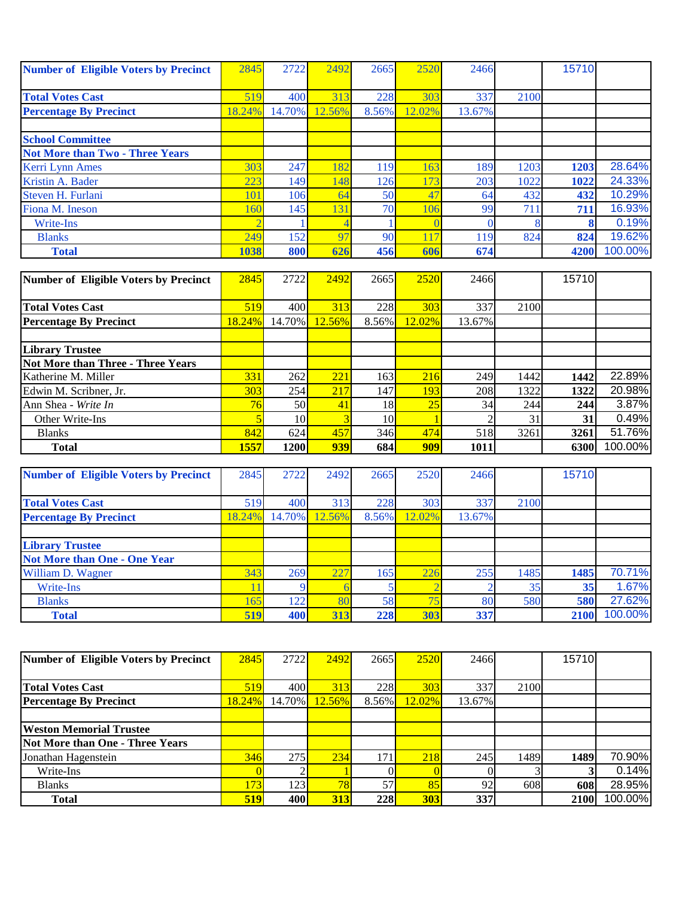| <b>Number of Eligible Voters by Precinct</b> | 2845   | 2722   | 2492   | 2665  | 2520   | 2466   |            | 15710 |         |
|----------------------------------------------|--------|--------|--------|-------|--------|--------|------------|-------|---------|
|                                              |        |        |        |       |        |        |            |       |         |
| <b>Total Votes Cast</b>                      | 519    | 400    | 313    | 228   | 303    | 337    | 2100       |       |         |
| <b>Percentage By Precinct</b>                | 18.24% | 14.70% | 12.56% | 8.56% | 12.02% | 13.67% |            |       |         |
|                                              |        |        |        |       |        |        |            |       |         |
| <b>School Committee</b>                      |        |        |        |       |        |        |            |       |         |
| <b>Not More than Two - Three Years</b>       |        |        |        |       |        |        |            |       |         |
| Kerri Lynn Ames                              | 303    | 247    | 182    | 119   | 163    | 189    | 1203       | 1203  | 28.64%  |
| Kristin A. Bader                             | 223    | 149    | 148    | 126   | 173    | 203    | 1022       | 1022  | 24.33%  |
| Steven H. Furlani                            | 101    | 106    | 64     | 50    | 47     | 64     | 432        | 432   | 10.29%  |
| Fiona M. Ineson                              | 160    | 145    | 131    | 70    | 106    | 99     | $71^\circ$ | 711   | 16.93%  |
| Write-Ins                                    |        |        |        |       |        |        |            |       | 0.19%   |
| <b>Blanks</b>                                | 249    | 152    | 97     | 90    | 117    | 119    | 824        | 824   | 19.62%  |
| <b>Total</b>                                 | 1038   | 800    | 626    | 456   | 606    | 674    |            | 4200  | 100.00% |

| Number of Eligible Voters by Precinct | 2845   | 2722            | 2492   | 2665            | 2520   | 2466   |      | 15710 |         |
|---------------------------------------|--------|-----------------|--------|-----------------|--------|--------|------|-------|---------|
|                                       |        |                 |        |                 |        |        |      |       |         |
| <b>Total Votes Cast</b>               | 519    | 400             | 313    | 228             | 303    | 337    | 2100 |       |         |
| <b>Percentage By Precinct</b>         | 18.24% | 14.70%          | 12.56% | 8.56%           | 12.02% | 13.67% |      |       |         |
|                                       |        |                 |        |                 |        |        |      |       |         |
| <b>Library Trustee</b>                |        |                 |        |                 |        |        |      |       |         |
| Not More than Three - Three Years     |        |                 |        |                 |        |        |      |       |         |
| Katherine M. Miller                   | 331    | 262             | 221    | 163             | 216    | 249    | 1442 | 1442  | 22.89%  |
| Edwin M. Scribner, Jr.                | 303    | 254             | 217    | 147             | 193    | 208    | 1322 | 1322  | 20.98%  |
| Ann Shea - Write In                   | 76     | 50 <sup> </sup> | 41     | 18              | 25     | 34     | 244  | 244   | 3.87%   |
| Other Write-Ins                       |        | 10I             | 3      | 10 <sup> </sup> |        |        | 31   | 31    | 0.49%   |
| <b>Blanks</b>                         | 842    | 624             | 457    | 346             | 474    | 518    | 3261 | 3261  | 51.76%  |
| <b>Total</b>                          | 1557   | 1200            | 939    | 684             | 909    | 1011   |      | 6300  | 100.00% |

| <b>Number of Eligible Voters by Precinct</b> | 2845   | 2722   | 2492   | 2665  | 2520   | 2466   |      | 15710 |         |
|----------------------------------------------|--------|--------|--------|-------|--------|--------|------|-------|---------|
|                                              |        |        |        |       |        |        |      |       |         |
| <b>Total Votes Cast</b>                      | 519    | 400    | 313    | 228   | 303    | 337    | 2100 |       |         |
| <b>Percentage By Precinct</b>                | 18.24% | 14.70% | 12.56% | 8.56% | 12.02% | 13.67% |      |       |         |
|                                              |        |        |        |       |        |        |      |       |         |
| <b>Library Trustee</b>                       |        |        |        |       |        |        |      |       |         |
| <b>Not More than One - One Year</b>          |        |        |        |       |        |        |      |       |         |
| William D. Wagner                            | 343    | 269    | 227    | 165   | 226    | 255    | 1485 | 1485  | 70.71%  |
| Write-Ins                                    |        |        |        |       |        |        | 35   | 35    | 1.67%   |
| <b>Blanks</b>                                | 165    | 122    | 80     | 58    | 75     | 80     | 580  | 580   | 27.62%  |
| <b>Total</b>                                 | 519    | 400    | 313    | 228   | 303    | 337    |      | 2100  | 100.00% |

| Number of Eligible Voters by Precinct | 2845       | 2722   | 2492       | 2665  | 2520       | 2466   |      | 15710 |         |
|---------------------------------------|------------|--------|------------|-------|------------|--------|------|-------|---------|
|                                       |            |        |            |       |            |        |      |       |         |
| <b>Total Votes Cast</b>               | 519        | 400    | 313        | 228   | 303        | 337    | 2100 |       |         |
| <b>Percentage By Precinct</b>         | 18.24%     | 14.70% | 12.56%     | 8.56% | $12.02\%$  | 13.67% |      |       |         |
|                                       |            |        |            |       |            |        |      |       |         |
| <b>Weston Memorial Trustee</b>        |            |        |            |       |            |        |      |       |         |
| Not More than One - Three Years       |            |        |            |       |            |        |      |       |         |
| Jonathan Hagenstein                   | 346        | 275    | 234        | 171   | 218        | 245    | 1489 | 1489  | 70.90%  |
| Write-Ins                             |            |        |            |       |            |        |      |       | 0.14%   |
| <b>Blanks</b>                         | 173        | 123    | 78         | 57    | 85         | 92     | 608  | 608   | 28.95%  |
| <b>Total</b>                          | <b>519</b> | 400    | <b>313</b> | 228   | <b>303</b> | 337    |      | 2100  | 100.00% |